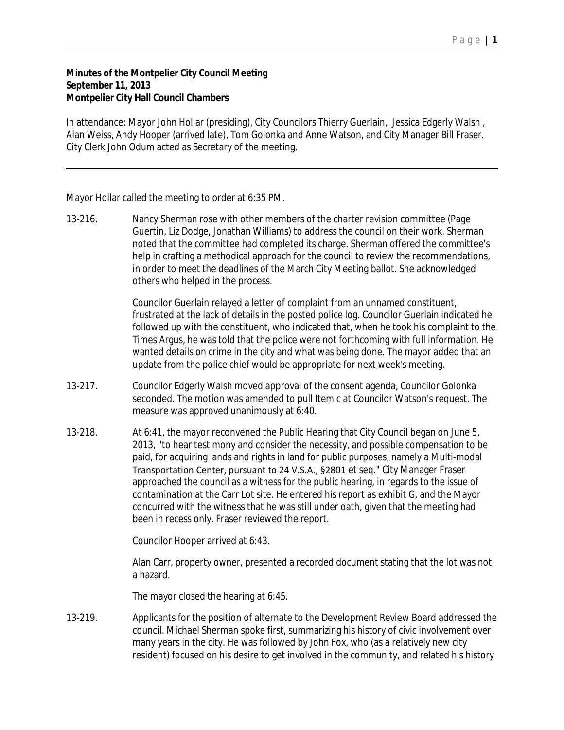## **Minutes of the Montpelier City Council Meeting September 11, 2013 Montpelier City Hall Council Chambers**

In attendance: Mayor John Hollar (presiding), City Councilors Thierry Guerlain, Jessica Edgerly Walsh , Alan Weiss, Andy Hooper (arrived late), Tom Golonka and Anne Watson, and City Manager Bill Fraser. City Clerk John Odum acted as Secretary of the meeting.

Mayor Hollar called the meeting to order at 6:35 PM.

13-216. Nancy Sherman rose with other members of the charter revision committee (Page Guertin, Liz Dodge, Jonathan Williams) to address the council on their work. Sherman noted that the committee had completed its charge. Sherman offered the committee's help in crafting a methodical approach for the council to review the recommendations, in order to meet the deadlines of the March City Meeting ballot. She acknowledged others who helped in the process.

> Councilor Guerlain relayed a letter of complaint from an unnamed constituent, frustrated at the lack of details in the posted police log. Councilor Guerlain indicated he followed up with the constituent, who indicated that, when he took his complaint to the Times Argus, he was told that the police were not forthcoming with full information. He wanted details on crime in the city and what was being done. The mayor added that an update from the police chief would be appropriate for next week's meeting.

- 13-217. Councilor Edgerly Walsh moved approval of the consent agenda, Councilor Golonka seconded. The motion was amended to pull Item c at Councilor Watson's request. The measure was approved unanimously at 6:40.
- 13-218. At 6:41, the mayor reconvened the Public Hearing that City Council began on June 5, 2013, "to hear testimony and consider the necessity, and possible compensation to be paid, for acquiring lands and rights in land for public purposes, namely a Multi-modal Transportation Center, pursuant to 24 V.S.A., §2801 et seq." City Manager Fraser approached the council as a witness for the public hearing, in regards to the issue of contamination at the Carr Lot site. He entered his report as exhibit G, and the Mayor concurred with the witness that he was still under oath, given that the meeting had been in recess only. Fraser reviewed the report.

Councilor Hooper arrived at 6:43.

Alan Carr, property owner, presented a recorded document stating that the lot was not a hazard.

The mayor closed the hearing at 6:45.

13-219. Applicants for the position of alternate to the Development Review Board addressed the council. Michael Sherman spoke first, summarizing his history of civic involvement over many years in the city. He was followed by John Fox, who (as a relatively new city resident) focused on his desire to get involved in the community, and related his history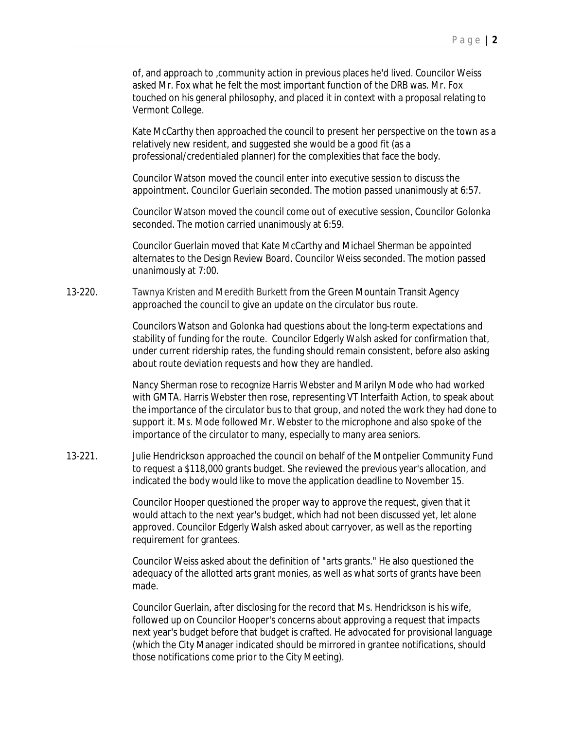of, and approach to ,community action in previous places he'd lived. Councilor Weiss asked Mr. Fox what he felt the most important function of the DRB was. Mr. Fox touched on his general philosophy, and placed it in context with a proposal relating to Vermont College.

Kate McCarthy then approached the council to present her perspective on the town as a relatively new resident, and suggested she would be a good fit (as a professional/credentialed planner) for the complexities that face the body.

Councilor Watson moved the council enter into executive session to discuss the appointment. Councilor Guerlain seconded. The motion passed unanimously at 6:57.

Councilor Watson moved the council come out of executive session, Councilor Golonka seconded. The motion carried unanimously at 6:59.

Councilor Guerlain moved that Kate McCarthy and Michael Sherman be appointed alternates to the Design Review Board. Councilor Weiss seconded. The motion passed unanimously at 7:00.

13-220. Tawnya Kristen and Meredith Burkett from the Green Mountain Transit Agency approached the council to give an update on the circulator bus route.

> Councilors Watson and Golonka had questions about the long-term expectations and stability of funding for the route. Councilor Edgerly Walsh asked for confirmation that, under current ridership rates, the funding should remain consistent, before also asking about route deviation requests and how they are handled.

Nancy Sherman rose to recognize Harris Webster and Marilyn Mode who had worked with GMTA. Harris Webster then rose, representing VT Interfaith Action, to speak about the importance of the circulator bus to that group, and noted the work they had done to support it. Ms. Mode followed Mr. Webster to the microphone and also spoke of the importance of the circulator to many, especially to many area seniors.

13-221. Julie Hendrickson approached the council on behalf of the Montpelier Community Fund to request a \$118,000 grants budget. She reviewed the previous year's allocation, and indicated the body would like to move the application deadline to November 15.

> Councilor Hooper questioned the proper way to approve the request, given that it would attach to the next year's budget, which had not been discussed yet, let alone approved. Councilor Edgerly Walsh asked about carryover, as well as the reporting requirement for grantees.

Councilor Weiss asked about the definition of "arts grants." He also questioned the adequacy of the allotted arts grant monies, as well as what sorts of grants have been made.

Councilor Guerlain, after disclosing for the record that Ms. Hendrickson is his wife, followed up on Councilor Hooper's concerns about approving a request that impacts next year's budget before that budget is crafted. He advocated for provisional language (which the City Manager indicated should be mirrored in grantee notifications, should those notifications come prior to the City Meeting).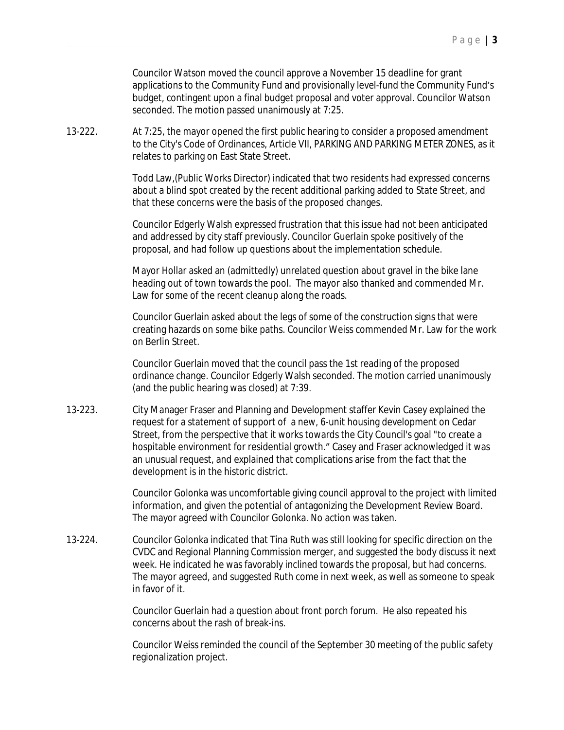Councilor Watson moved the council approve a November 15 deadline for grant applications to the Community Fund and provisionally level-fund the Community Fund's budget, contingent upon a final budget proposal and voter approval. Councilor Watson seconded. The motion passed unanimously at 7:25.

13-222. At 7:25, the mayor opened the first public hearing to consider a proposed amendment to the City's Code of Ordinances, Article VII, PARKING AND PARKING METER ZONES, as it relates to parking on East State Street.

> Todd Law,(Public Works Director) indicated that two residents had expressed concerns about a blind spot created by the recent additional parking added to State Street, and that these concerns were the basis of the proposed changes.

> Councilor Edgerly Walsh expressed frustration that this issue had not been anticipated and addressed by city staff previously. Councilor Guerlain spoke positively of the proposal, and had follow up questions about the implementation schedule.

Mayor Hollar asked an (admittedly) unrelated question about gravel in the bike lane heading out of town towards the pool. The mayor also thanked and commended Mr. Law for some of the recent cleanup along the roads.

Councilor Guerlain asked about the legs of some of the construction signs that were creating hazards on some bike paths. Councilor Weiss commended Mr. Law for the work on Berlin Street.

Councilor Guerlain moved that the council pass the 1st reading of the proposed ordinance change. Councilor Edgerly Walsh seconded. The motion carried unanimously (and the public hearing was closed) at 7:39.

13-223. City Manager Fraser and Planning and Development staffer Kevin Casey explained the request for a statement of support of a new, 6-unit housing development on Cedar Street, from the perspective that it works towards the City Council's goal "to create a hospitable environment for residential growth." Casey and Fraser acknowledged it was an unusual request, and explained that complications arise from the fact that the development is in the historic district.

> Councilor Golonka was uncomfortable giving council approval to the project with limited information, and given the potential of antagonizing the Development Review Board. The mayor agreed with Councilor Golonka. No action was taken.

13-224. Councilor Golonka indicated that Tina Ruth was still looking for specific direction on the CVDC and Regional Planning Commission merger, and suggested the body discuss it next week. He indicated he was favorably inclined towards the proposal, but had concerns. The mayor agreed, and suggested Ruth come in next week, as well as someone to speak in favor of it.

> Councilor Guerlain had a question about front porch forum. He also repeated his concerns about the rash of break-ins.

Councilor Weiss reminded the council of the September 30 meeting of the public safety regionalization project.